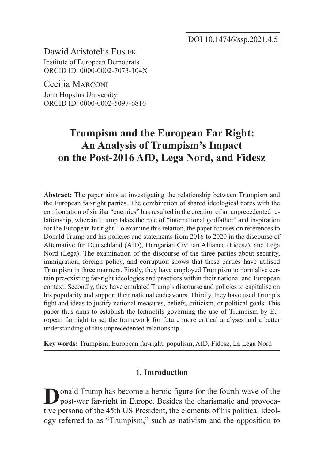DOI 10.14746/ssp.2021.4.5

Dawid Aristotelis Fusiek Institute of European Democrats ORCID ID: 0000-0002-7073-104X

Cecilia Marconi John Hopkins University ORCID ID: 0000-0002-5097-6816

# **Trumpism and the European Far Right: An Analysis of Trumpism's Impact on the Post-2016 AfD, Lega Nord, and Fidesz**

**Abstract:** The paper aims at investigating the relationship between Trumpism and the European far-right parties. The combination of shared ideological cores with the confrontation of similar "enemies" has resulted in the creation of an unprecedented relationship, wherein Trump takes the role of "international godfather" and inspiration for the European far right. To examine this relation, the paper focuses on references to Donald Trump and his policies and statements from 2016 to 2020 in the discourse of Alternative für Deutschland (AfD), Hungarian Civilian Alliance (Fidesz), and Lega Nord (Lega). The examination of the discourse of the three parties about security, immigration, foreign policy, and corruption shows that these parties have utilised Trumpism in three manners. Firstly, they have employed Trumpism to normalise certain pre-existing far-right ideologies and practices within their national and European context. Secondly, they have emulated Trump's discourse and policies to capitalise on his popularity and support their national endeavours. Thirdly, they have used Trump's fight and ideas to justify national measures, beliefs, criticism, or political goals. This paper thus aims to establish the leitmotifs governing the use of Trumpism by European far right to set the framework for future more critical analyses and a better understanding of this unprecedented relationship.

**Key words:** Trumpism, European far-right, populism, AfD, Fidesz, La Lega Nord

# **1. Introduction**

**D**onald Trump has become a heroic figure for the fourth wave of the post-war far-right in Europe. Besides the charismatic and provocative persona of the 45th US President, the elements of his political ideology referred to as "Trumpism," such as nativism and the opposition to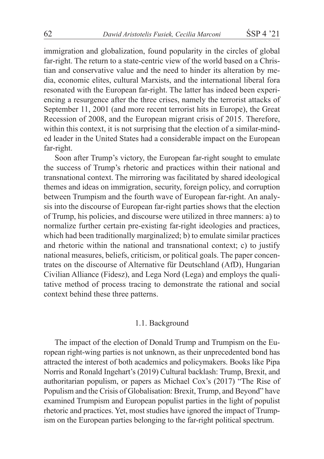immigration and globalization, found popularity in the circles of global far-right. The return to a state-centric view of the world based on a Christian and conservative value and the need to hinder its alteration by media, economic elites, cultural Marxists, and the international liberal fora resonated with the European far-right. The latter has indeed been experiencing a resurgence after the three crises, namely the terrorist attacks of September 11, 2001 (and more recent terrorist hits in Europe), the Great Recession of 2008, and the European migrant crisis of 2015. Therefore, within this context, it is not surprising that the election of a similar-minded leader in the United States had a considerable impact on the European far-right.

Soon after Trump's victory, the European far-right sought to emulate the success of Trump's rhetoric and practices within their national and transnational context. The mirroring was facilitated by shared ideological themes and ideas on immigration, security, foreign policy, and corruption between Trumpism and the fourth wave of European far-right. An analysis into the discourse of European far-right parties shows that the election of Trump, his policies, and discourse were utilized in three manners: a) to normalize further certain pre-existing far-right ideologies and practices, which had been traditionally marginalized; b) to emulate similar practices and rhetoric within the national and transnational context; c) to justify national measures, beliefs, criticism, or political goals. The paper concentrates on the discourse of Alternative für Deutschland (AfD), Hungarian Civilian Alliance (Fidesz), and Lega Nord (Lega) and employs the qualitative method of process tracing to demonstrate the rational and social context behind these three patterns.

# 1.1. Background

The impact of the election of Donald Trump and Trumpism on the European right-wing parties is not unknown, as their unprecedented bond has attracted the interest of both academics and policymakers. Books like Pipa Norris and Ronald Ingehart's (2019) Cultural backlash: Trump, Brexit, and authoritarian populism, or papers as Michael Cox's (2017) "The Rise of Populism and the Crisis of Globalisation: Brexit, Trump, and Beyond" have examined Trumpism and European populist parties in the light of populist rhetoric and practices. Yet, most studies have ignored the impact of Trumpism on the European parties belonging to the far-right political spectrum.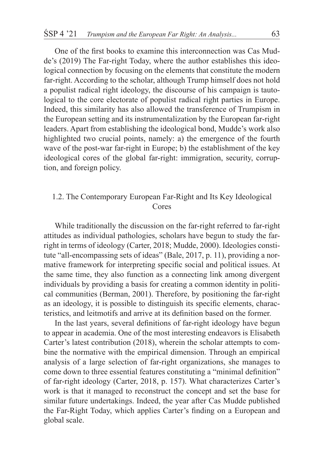One of the first books to examine this interconnection was Cas Mudde's (2019) The Far-right Today, where the author establishes this ideological connection by focusing on the elements that constitute the modern far-right. According to the scholar, although Trump himself does not hold a populist radical right ideology, the discourse of his campaign is tautological to the core electorate of populist radical right parties in Europe. Indeed, this similarity has also allowed the transference of Trumpism in the European setting and its instrumentalization by the European far-right leaders. Apart from establishing the ideological bond, Mudde's work also highlighted two crucial points, namely: a) the emergence of the fourth wave of the post-war far-right in Europe; b) the establishment of the key ideological cores of the global far-right: immigration, security, corruption, and foreign policy.

# 1.2. The Contemporary European Far-Right and Its Key Ideological Cores

While traditionally the discussion on the far-right referred to far-right attitudes as individual pathologies, scholars have begun to study the farright in terms of ideology (Carter, 2018; Mudde, 2000). Ideologies constitute "all-encompassing sets of ideas" (Bale, 2017, p. 11), providing a normative framework for interpreting specific social and political issues. At the same time, they also function as a connecting link among divergent individuals by providing a basis for creating a common identity in political communities (Berman, 2001). Therefore, by positioning the far-right as an ideology, it is possible to distinguish its specific elements, characteristics, and leitmotifs and arrive at its definition based on the former.

In the last years, several definitions of far-right ideology have begun to appear in academia. One of the most interesting endeavors is Elisabeth Carter's latest contribution (2018), wherein the scholar attempts to combine the normative with the empirical dimension. Through an empirical analysis of a large selection of far-right organizations, she manages to come down to three essential features constituting a "minimal definition" of far-right ideology (Carter, 2018, p. 157). What characterizes Carter's work is that it managed to reconstruct the concept and set the base for similar future undertakings. Indeed, the year after Cas Mudde published the Far-Right Today, which applies Carter's finding on a European and global scale.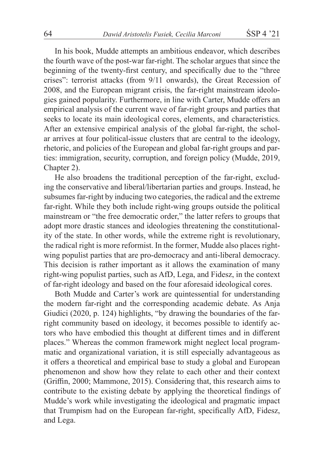In his book, Mudde attempts an ambitious endeavor, which describes the fourth wave of the post-war far-right. The scholar argues that since the beginning of the twenty-first century, and specifically due to the "three crises": terrorist attacks (from 9/11 onwards), the Great Recession of 2008, and the European migrant crisis, the far-right mainstream ideologies gained popularity. Furthermore, in line with Carter, Mudde offers an empirical analysis of the current wave of far-right groups and parties that seeks to locate its main ideological cores, elements, and characteristics. After an extensive empirical analysis of the global far-right, the scholar arrives at four political-issue clusters that are central to the ideology, rhetoric, and policies of the European and global far-right groups and parties: immigration, security, corruption, and foreign policy (Mudde, 2019, Chapter 2).

He also broadens the traditional perception of the far-right, excluding the conservative and liberal/libertarian parties and groups. Instead, he subsumes far-right by inducing two categories, the radical and the extreme far-right. While they both include right-wing groups outside the political mainstream or "the free democratic order," the latter refers to groups that adopt more drastic stances and ideologies threatening the constitutionality of the state. In other words, while the extreme right is revolutionary, the radical right is more reformist. In the former, Mudde also places rightwing populist parties that are pro-democracy and anti-liberal democracy. This decision is rather important as it allows the examination of many right-wing populist parties, such as AfD, Lega, and Fidesz, in the context of far-right ideology and based on the four aforesaid ideological cores.

Both Mudde and Carter's work are quintessential for understanding the modern far-right and the corresponding academic debate. As Anja Giudici (2020, p. 124) highlights, "by drawing the boundaries of the farright community based on ideology, it becomes possible to identify actors who have embodied this thought at different times and in different places." Whereas the common framework might neglect local programmatic and organizational variation, it is still especially advantageous as it offers a theoretical and empirical base to study a global and European phenomenon and show how they relate to each other and their context (Griffin, 2000; Mammone, 2015). Considering that, this research aims to contribute to the existing debate by applying the theoretical findings of Mudde's work while investigating the ideological and pragmatic impact that Trumpism had on the European far-right, specifically AfD, Fidesz, and Lega.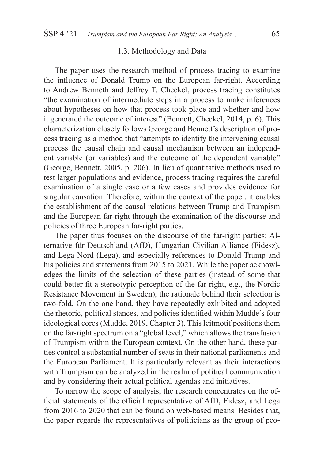# 1.3. Methodology and Data

The paper uses the research method of process tracing to examine the influence of Donald Trump on the European far-right. According to Andrew Benneth and Jeffrey T. Checkel, process tracing constitutes "the examination of intermediate steps in a process to make inferences about hypotheses on how that process took place and whether and how it generated the outcome of interest" (Bennett, Checkel, 2014, p. 6). This characterization closely follows George and Bennett's description of process tracing as a method that "attempts to identify the intervening causal process the causal chain and causal mechanism between an independent variable (or variables) and the outcome of the dependent variable" (George, Bennett, 2005, p. 206). In lieu of quantitative methods used to test larger populations and evidence, process tracing requires the careful examination of a single case or a few cases and provides evidence for singular causation. Therefore, within the context of the paper, it enables the establishment of the causal relations between Trump and Trumpism and the European far-right through the examination of the discourse and policies of three European far-right parties.

The paper thus focuses on the discourse of the far-right parties: Alternative für Deutschland (AfD), Hungarian Civilian Alliance (Fidesz), and Lega Nord (Lega), and especially references to Donald Trump and his policies and statements from 2015 to 2021. While the paper acknowledges the limits of the selection of these parties (instead of some that could better fit a stereotypic perception of the far-right, e.g., the Nordic Resistance Movement in Sweden), the rationale behind their selection is two-fold. On the one hand, they have repeatedly exhibited and adopted the rhetoric, political stances, and policies identified within Mudde's four ideological cores (Mudde, 2019, Chapter 3). This leitmotif positions them on the far-right spectrum on a "global level," which allows the transfusion of Trumpism within the European context. On the other hand, these parties control a substantial number of seats in their national parliaments and the European Parliament. It is particularly relevant as their interactions with Trumpism can be analyzed in the realm of political communication and by considering their actual political agendas and initiatives.

To narrow the scope of analysis, the research concentrates on the official statements of the official representative of AfD, Fidesz, and Lega from 2016 to 2020 that can be found on web-based means. Besides that, the paper regards the representatives of politicians as the group of peo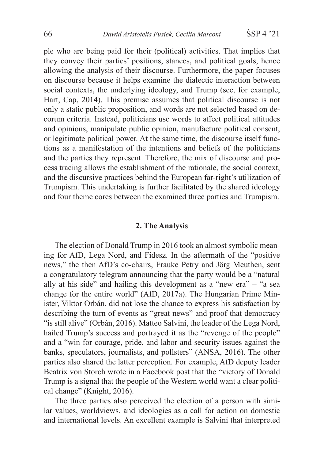ple who are being paid for their (political) activities. That implies that they convey their parties' positions, stances, and political goals, hence allowing the analysis of their discourse. Furthermore, the paper focuses on discourse because it helps examine the dialectic interaction between social contexts, the underlying ideology, and Trump (see, for example, Hart, Cap, 2014). This premise assumes that political discourse is not only a static public proposition, and words are not selected based on decorum criteria. Instead, politicians use words to affect political attitudes and opinions, manipulate public opinion, manufacture political consent, or legitimate political power. At the same time, the discourse itself functions as a manifestation of the intentions and beliefs of the politicians and the parties they represent. Therefore, the mix of discourse and process tracing allows the establishment of the rationale, the social context, and the discursive practices behind the European far-right's utilization of Trumpism. This undertaking is further facilitated by the shared ideology and four theme cores between the examined three parties and Trumpism.

### **2. The Analysis**

The election of Donald Trump in 2016 took an almost symbolic meaning for AfD, Lega Nord, and Fidesz. In the aftermath of the "positive news," the then AfD's co-chairs, Frauke Petry and Jörg Meuthen, sent a congratulatory telegram announcing that the party would be a "natural ally at his side" and hailing this development as a "new era" – "a sea change for the entire world" (AfD, 2017a). The Hungarian Prime Minister, Viktor Orbán, did not lose the chance to express his satisfaction by describing the turn of events as "great news" and proof that democracy "is still alive" (Orbán, 2016). Matteo Salvini, the leader of the Lega Nord, hailed Trump's success and portrayed it as the "revenge of the people" and a "win for courage, pride, and labor and security issues against the banks, speculators, journalists, and pollsters" (ANSA, 2016). The other parties also shared the latter perception. For example, AfD deputy leader Beatrix von Storch wrote in a Facebook post that the "victory of Donald Trump is a signal that the people of the Western world want a clear political change" (Knight, 2016).

The three parties also perceived the election of a person with similar values, worldviews, and ideologies as a call for action on domestic and international levels. An excellent example is Salvini that interpreted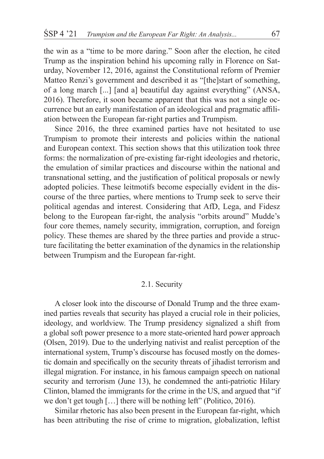the win as a "time to be more daring." Soon after the election, he cited Trump as the inspiration behind his upcoming rally in Florence on Saturday, November 12, 2016, against the Constitutional reform of Premier Matteo Renzi's government and described it as "[the]start of something, of a long march [...] [and a] beautiful day against everything" (ANSA, 2016). Therefore, it soon became apparent that this was not a single occurrence but an early manifestation of an ideological and pragmatic affiliation between the European far-right parties and Trumpism.

Since 2016, the three examined parties have not hesitated to use Trumpism to promote their interests and policies within the national and European context. This section shows that this utilization took three forms: the normalization of pre-existing far-right ideologies and rhetoric, the emulation of similar practices and discourse within the national and transnational setting, and the justification of political proposals or newly adopted policies. These leitmotifs become especially evident in the discourse of the three parties, where mentions to Trump seek to serve their political agendas and interest. Considering that AfD, Lega, and Fidesz belong to the European far-right, the analysis "orbits around" Mudde's four core themes, namely security, immigration, corruption, and foreign policy. These themes are shared by the three parties and provide a structure facilitating the better examination of the dynamics in the relationship between Trumpism and the European far-right.

# 2.1. Security

A closer look into the discourse of Donald Trump and the three examined parties reveals that security has played a crucial role in their policies, ideology, and worldview. The Trump presidency signalized a shift from a global soft power presence to a more state-oriented hard power approach (Olsen, 2019). Due to the underlying nativist and realist perception of the international system, Trump's discourse has focused mostly on the domestic domain and specifically on the security threats of jihadist terrorism and illegal migration. For instance, in his famous campaign speech on national security and terrorism (June 13), he condemned the anti-patriotic Hilary Clinton, blamed the immigrants for the crime in the US, and argued that "if we don't get tough […] there will be nothing left" (Politico, 2016).

Similar rhetoric has also been present in the European far-right, which has been attributing the rise of crime to migration, globalization, leftist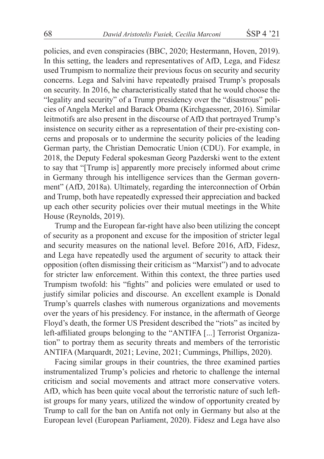policies, and even conspiracies (BBC, 2020; Hestermann, Hoven, 2019). In this setting, the leaders and representatives of AfD, Lega, and Fidesz used Trumpism to normalize their previous focus on security and security concerns. Lega and Salvini have repeatedly praised Trump's proposals on security. In 2016, he characteristically stated that he would choose the "legality and security" of a Trump presidency over the "disastrous" policies of Angela Merkel and Barack Obama (Kirchgaessner, 2016). Similar leitmotifs are also present in the discourse of AfD that portrayed Trump's insistence on security either as a representation of their pre-existing concerns and proposals or to undermine the security policies of the leading German party, the Christian Democratic Union (CDU). For example, in 2018, the Deputy Federal spokesman Georg Pazderski went to the extent to say that "[Trump is] apparently more precisely informed about crime in Germany through his intelligence services than the German government" (AfD, 2018a). Ultimately, regarding the interconnection of Orbán and Trump, both have repeatedly expressed their appreciation and backed up each other security policies over their mutual meetings in the White House (Reynolds, 2019).

Trump and the European far-right have also been utilizing the concept of security as a proponent and excuse for the imposition of stricter legal and security measures on the national level. Before 2016, AfD, Fidesz, and Lega have repeatedly used the argument of security to attack their opposition (often dismissing their criticism as "Marxist") and to advocate for stricter law enforcement. Within this context, the three parties used Trumpism twofold: his "fights" and policies were emulated or used to justify similar policies and discourse. An excellent example is Donald Trump's quarrels clashes with numerous organizations and movements over the years of his presidency. For instance, in the aftermath of George Floyd's death, the former US President described the "riots" as incited by left-affiliated groups belonging to the "ANTIFA [...] Terrorist Organization" to portray them as security threats and members of the terroristic ANTIFA (Marquardt, 2021; Levine, 2021; Cummings, Phillips, 2020).

Facing similar groups in their countries, the three examined parties instrumentalized Trump's policies and rhetoric to challenge the internal criticism and social movements and attract more conservative voters. AfD, which has been quite vocal about the terroristic nature of such leftist groups for many years, utilized the window of opportunity created by Trump to call for the ban on Antifa not only in Germany but also at the European level (European Parliament, 2020). Fidesz and Lega have also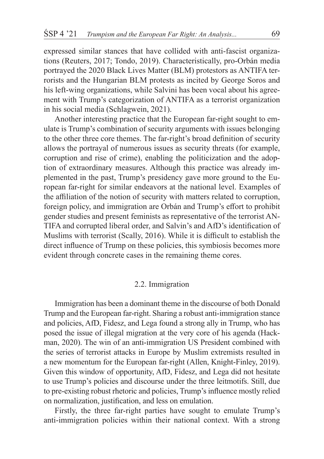expressed similar stances that have collided with anti-fascist organizations (Reuters, 2017; Tondo, 2019). Characteristically, pro-Orbán media portrayed the 2020 Black Lives Matter (BLM) protestors as ANTIFA terrorists and the Hungarian BLM protests as incited by George Soros and his left-wing organizations, while Salvini has been vocal about his agreement with Trump's categorization of ANTIFA as a terrorist organization in his social media (Schlagwein, 2021).

Another interesting practice that the European far-right sought to emulate is Trump's combination of security arguments with issues belonging to the other three core themes. The far-right's broad definition of security allows the portrayal of numerous issues as security threats (for example, corruption and rise of crime), enabling the politicization and the adoption of extraordinary measures. Although this practice was already implemented in the past, Trump's presidency gave more ground to the European far-right for similar endeavors at the national level. Examples of the affiliation of the notion of security with matters related to corruption, foreign policy, and immigration are Orbán and Trump's effort to prohibit gender studies and present feminists as representative of the terrorist AN-TIFA and corrupted liberal order, and Salvin's and AfD's identification of Muslims with terrorist (Scally, 2016). While it is difficult to establish the direct influence of Trump on these policies, this symbiosis becomes more evident through concrete cases in the remaining theme cores.

# 2.2. Immigration

Immigration has been a dominant theme in the discourse of both Donald Trump and the European far-right. Sharing a robust anti-immigration stance and policies, AfD, Fidesz, and Lega found a strong ally in Trump, who has posed the issue of illegal migration at the very core of his agenda (Hackman, 2020). The win of an anti-immigration US President combined with the series of terrorist attacks in Europe by Muslim extremists resulted in a new momentum for the European far-right (Allen, Knight-Finley, 2019). Given this window of opportunity, AfD, Fidesz, and Lega did not hesitate to use Trump's policies and discourse under the three leitmotifs. Still, due to pre-existing robust rhetoric and policies, Trump's influence mostly relied on normalization, justification, and less on emulation.

Firstly, the three far-right parties have sought to emulate Trump's anti-immigration policies within their national context. With a strong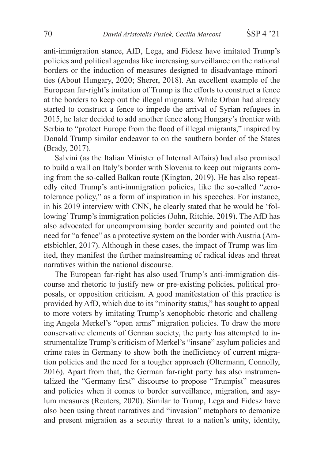anti-immigration stance, AfD, Lega, and Fidesz have imitated Trump's policies and political agendas like increasing surveillance on the national borders or the induction of measures designed to disadvantage minorities (About Hungary, 2020; Sherer, 2018). An excellent example of the European far-right's imitation of Trump is the efforts to construct a fence at the borders to keep out the illegal migrants. While Orbán had already started to construct a fence to impede the arrival of Syrian refugees in 2015, he later decided to add another fence along Hungary's frontier with Serbia to "protect Europe from the flood of illegal migrants," inspired by Donald Trump similar endeavor to on the southern border of the States (Brady, 2017).

Salvini (as the Italian Minister of Internal Affairs) had also promised to build a wall on Italy's border with Slovenia to keep out migrants coming from the so-called Balkan route (Kington, 2019). He has also repeatedly cited Trump's anti-immigration policies, like the so-called "zerotolerance policy," as a form of inspiration in his speeches. For instance, in his 2019 interview with CNN, he clearly stated that he would be 'following' Trump's immigration policies (John, Ritchie, 2019). The AfD has also advocated for uncompromising border security and pointed out the need for "a fence" as a protective system on the border with Austria (Ametsbichler, 2017). Although in these cases, the impact of Trump was limited, they manifest the further mainstreaming of radical ideas and threat narratives within the national discourse.

The European far-right has also used Trump's anti-immigration discourse and rhetoric to justify new or pre-existing policies, political proposals, or opposition criticism. A good manifestation of this practice is provided by AfD, which due to its "minority status," has sought to appeal to more voters by imitating Trump's xenophobic rhetoric and challenging Angela Merkel's "open arms" migration policies. To draw the more conservative elements of German society, the party has attempted to instrumentalize Trump's criticism of Merkel's "insane" asylum policies and crime rates in Germany to show both the inefficiency of current migration policies and the need for a tougher approach (Oltermann, Connolly, 2016). Apart from that, the German far-right party has also instrumentalized the "Germany first" discourse to propose "Trumpist" measures and policies when it comes to border surveillance, migration, and asylum measures (Reuters, 2020). Similar to Trump, Lega and Fidesz have also been using threat narratives and "invasion" metaphors to demonize and present migration as a security threat to a nation's unity, identity,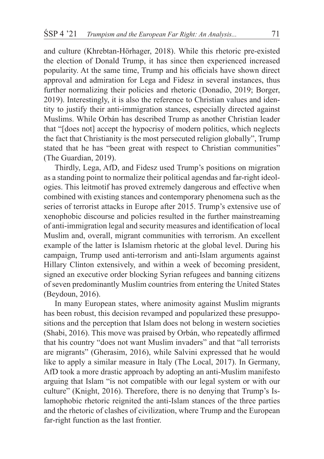and culture (Khrebtan-Hörhager, 2018). While this rhetoric pre-existed the election of Donald Trump, it has since then experienced increased popularity. At the same time, Trump and his officials have shown direct approval and admiration for Lega and Fidesz in several instances, thus further normalizing their policies and rhetoric (Donadio, 2019; Borger, 2019). Interestingly, it is also the reference to Christian values and identity to justify their anti-immigration stances, especially directed against Muslims. While Orbán has described Trump as another Christian leader that "[does not] accept the hypocrisy of modern politics, which neglects the fact that Christianity is the most persecuted religion globally", Trump stated that he has "been great with respect to Christian communities" (The Guardian, 2019).

Thirdly, Lega, AfD, and Fidesz used Trump's positions on migration as a standing point to normalize their political agendas and far-right ideologies. This leitmotif has proved extremely dangerous and effective when combined with existing stances and contemporary phenomena such as the series of terrorist attacks in Europe after 2015. Trump's extensive use of xenophobic discourse and policies resulted in the further mainstreaming of anti-immigration legal and security measures and identification of local Muslim and, overall, migrant communities with terrorism. An excellent example of the latter is Islamism rhetoric at the global level. During his campaign, Trump used anti-terrorism and anti-Islam arguments against Hillary Clinton extensively, and within a week of becoming president, signed an executive order blocking Syrian refugees and banning citizens of seven predominantly Muslim countries from entering the United States (Beydoun, 2016).

In many European states, where animosity against Muslim migrants has been robust, this decision revamped and popularized these presuppositions and the perception that Islam does not belong in western societies (Shabi, 2016). This move was praised by Orbán, who repeatedly affirmed that his country "does not want Muslim invaders" and that "all terrorists are migrants" (Gherasim, 2016), while Salvini expressed that he would like to apply a similar measure in Italy (The Local, 2017). In Germany, AfD took a more drastic approach by adopting an anti-Muslim manifesto arguing that Islam "is not compatible with our legal system or with our culture" (Knight, 2016). Therefore, there is no denying that Trump's Islamophobic rhetoric reignited the anti-Islam stances of the three parties and the rhetoric of clashes of civilization, where Trump and the European far-right function as the last frontier.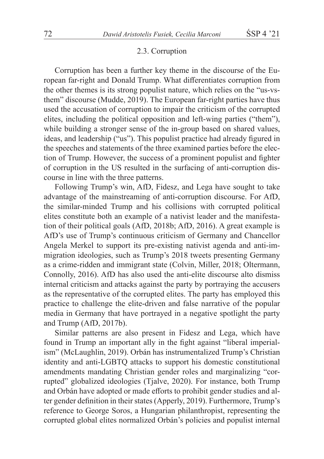#### 2.3. Corruption

Corruption has been a further key theme in the discourse of the European far-right and Donald Trump. What differentiates corruption from the other themes is its strong populist nature, which relies on the "us-vsthem" discourse (Mudde, 2019). The European far-right parties have thus used the accusation of corruption to impair the criticism of the corrupted elites, including the political opposition and left-wing parties ("them"), while building a stronger sense of the in-group based on shared values, ideas, and leadership ("us"). This populist practice had already figured in the speeches and statements of the three examined parties before the election of Trump. However, the success of a prominent populist and fighter of corruption in the US resulted in the surfacing of anti-corruption discourse in line with the three patterns.

Following Trump's win, AfD, Fidesz, and Lega have sought to take advantage of the mainstreaming of anti-corruption discourse. For AfD, the similar-minded Trump and his collisions with corrupted political elites constitute both an example of a nativist leader and the manifestation of their political goals (AfD, 2018b; AfD, 2016). A great example is AfD's use of Trump's continuous criticism of Germany and Chancellor Angela Merkel to support its pre-existing nativist agenda and anti-immigration ideologies, such as Trump's 2018 tweets presenting Germany as a crime-ridden and immigrant state (Colvin, Miller, 2018; Oltermann, Connolly, 2016). AfD has also used the anti-elite discourse alto dismiss internal criticism and attacks against the party by portraying the accusers as the representative of the corrupted elites. The party has employed this practice to challenge the elite-driven and false narrative of the popular media in Germany that have portrayed in a negative spotlight the party and Trump (AfD, 2017b).

Similar patterns are also present in Fidesz and Lega, which have found in Trump an important ally in the fight against "liberal imperialism" (McLaughlin, 2019). Orbán has instrumentalized Trump's Christian identity and anti-LGBTQ attacks to support his domestic constitutional amendments mandating Christian gender roles and marginalizing "corrupted" globalized ideologies (Tjalve, 2020). For instance, both Trump and Orbán have adopted or made efforts to prohibit gender studies and alter gender definition in their states (Apperly, 2019). Furthermore, Trump's reference to George Soros, a Hungarian philanthropist, representing the corrupted global elites normalized Orbán's policies and populist internal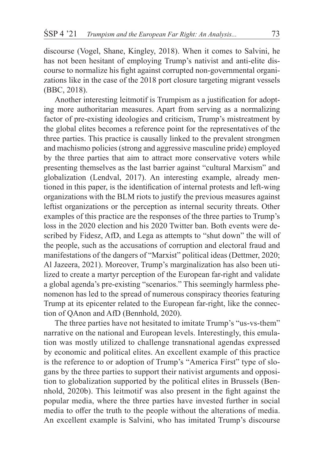discourse (Vogel, Shane, Kingley, 2018). When it comes to Salvini, he has not been hesitant of employing Trump's nativist and anti-elite discourse to normalize his fight against corrupted non-governmental organizations like in the case of the 2018 port closure targeting migrant vessels (BBC, 2018).

Another interesting leitmotif is Trumpism as a justification for adopting more authoritarian measures. Apart from serving as a normalizing factor of pre-existing ideologies and criticism, Trump's mistreatment by the global elites becomes a reference point for the representatives of the three parties. This practice is causally linked to the prevalent strongmen and machismo policies (strong and aggressive masculine pride) employed by the three parties that aim to attract more conservative voters while presenting themselves as the last barrier against "cultural Marxism" and globalization (Lendval, 2017). An interesting example, already mentioned in this paper, is the identification of internal protests and left-wing organizations with the BLM riots to justify the previous measures against leftist organizations or the perception as internal security threats. Other examples of this practice are the responses of the three parties to Trump's loss in the 2020 election and his 2020 Twitter ban. Both events were described by Fidesz, AfD, and Lega as attempts to "shut down" the will of the people, such as the accusations of corruption and electoral fraud and manifestations of the dangers of "Marxist" political ideas (Dettmer, 2020; Al Jazeera, 2021). Moreover, Trump's marginalization has also been utilized to create a martyr perception of the European far-right and validate a global agenda's pre-existing "scenarios." This seemingly harmless phenomenon has led to the spread of numerous conspiracy theories featuring Trump at its epicenter related to the European far-right, like the connection of QAnon and AfD (Bennhold, 2020).

The three parties have not hesitated to imitate Trump's "us-vs-them" narrative on the national and European levels. Interestingly, this emulation was mostly utilized to challenge transnational agendas expressed by economic and political elites. An excellent example of this practice is the reference to or adoption of Trump's "America First" type of slogans by the three parties to support their nativist arguments and opposition to globalization supported by the political elites in Brussels (Bennhold, 2020b). This leitmotif was also present in the fight against the popular media, where the three parties have invested further in social media to offer the truth to the people without the alterations of media. An excellent example is Salvini, who has imitated Trump's discourse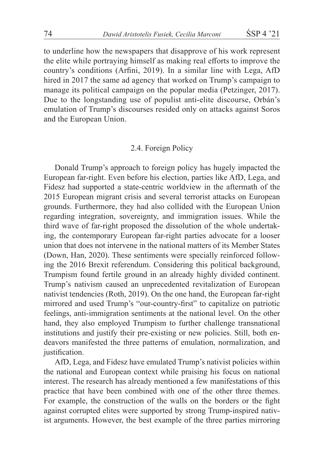to underline how the newspapers that disapprove of his work represent the elite while portraying himself as making real efforts to improve the country's conditions (Arfini, 2019). In a similar line with Lega, AfD hired in 2017 the same ad agency that worked on Trump's campaign to manage its political campaign on the popular media (Petzinger, 2017). Due to the longstanding use of populist anti-elite discourse, Orbán's emulation of Trump's discourses resided only on attacks against Soros and the European Union.

#### 2.4. Foreign Policy

Donald Trump's approach to foreign policy has hugely impacted the European far-right. Even before his election, parties like AfD, Lega, and Fidesz had supported a state-centric worldview in the aftermath of the 2015 European migrant crisis and several terrorist attacks on European grounds. Furthermore, they had also collided with the European Union regarding integration, sovereignty, and immigration issues. While the third wave of far-right proposed the dissolution of the whole undertaking, the contemporary European far-right parties advocate for a looser union that does not intervene in the national matters of its Member States (Down, Han, 2020). These sentiments were specially reinforced following the 2016 Brexit referendum. Considering this political background, Trumpism found fertile ground in an already highly divided continent. Trump's nativism caused an unprecedented revitalization of European nativist tendencies (Roth, 2019). On the one hand, the European far-right mirrored and used Trump's "our-country-first" to capitalize on patriotic feelings, anti-immigration sentiments at the national level. On the other hand, they also employed Trumpism to further challenge transnational institutions and justify their pre-existing or new policies. Still, both endeavors manifested the three patterns of emulation, normalization, and justification.

AfD, Lega, and Fidesz have emulated Trump's nativist policies within the national and European context while praising his focus on national interest. The research has already mentioned a few manifestations of this practice that have been combined with one of the other three themes. For example, the construction of the walls on the borders or the fight against corrupted elites were supported by strong Trump-inspired nativist arguments. However, the best example of the three parties mirroring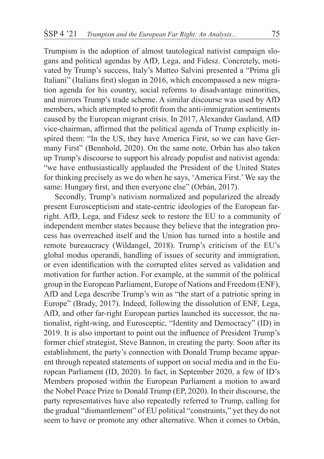Trumpism is the adoption of almost tautological nativist campaign slogans and political agendas by AfD, Lega, and Fidesz. Concretely, motivated by Trump's success, Italy's Matteo Salvini presented a "Prima gli Italiani" (Italians first) slogan in 2016, which encompassed a new migration agenda for his country, social reforms to disadvantage minorities, and mirrors Trump's trade scheme. A similar discourse was used by AfD members, which attempted to profit from the anti-immigration sentiments caused by the European migrant crisis. In 2017, Alexander Gauland, AfD vice-chairman, affirmed that the political agenda of Trump explicitly inspired them: "In the US, they have America First, so we can have Germany First" (Bennhold, 2020). On the same note, Orbán has also taken up Trump's discourse to support his already populist and nativist agenda: "we have enthusiastically applauded the President of the United States for thinking precisely as we do when he says, 'America First.' We say the same: Hungary first, and then everyone else" (Orbán, 2017).

Secondly, Trump's nativism normalized and popularized the already present Euroscepticism and state-centric ideologies of the European farright. AfD, Lega, and Fidesz seek to restore the EU to a community of independent member states because they believe that the integration process has overreached itself and the Union has turned into a hostile and remote bureaucracy (Wildangel, 2018). Trump's criticism of the EU's global modus operandi, handling of issues of security and immigration, or even identification with the corrupted elites served as validation and motivation for further action. For example, at the summit of the political group in the European Parliament, Europe of Nations and Freedom (ENF), AfD and Lega describe Trump's win as "the start of a patriotic spring in Europe" (Brady, 2017). Indeed, following the dissolution of ENF, Lega, AfD, and other far-right European parties launched its successor, the nationalist, right-wing, and Eurosceptic, "Identity and Democracy" (ID) in 2019. It is also important to point out the influence of President Trump's former chief strategist, Steve Bannon, in creating the party. Soon after its establishment, the party's connection with Donald Trump became apparent through repeated statements of support on social media and in the European Parliament (ID, 2020). In fact, in September 2020, a few of ID's Members proposed within the European Parliament a motion to award the Nobel Peace Prize to Donald Trump (EP, 2020). In their discourse, the party representatives have also repeatedly referred to Trump, calling for the gradual "dismantlement" of EU political "constraints," yet they do not seem to have or promote any other alternative. When it comes to Orbán,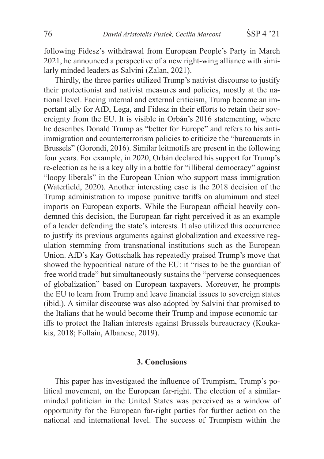following Fidesz's withdrawal from European People's Party in March 2021, he announced a perspective of a new right-wing alliance with similarly minded leaders as Salvini (Zalan, 2021).

Thirdly, the three parties utilized Trump's nativist discourse to justify their protectionist and nativist measures and policies, mostly at the national level. Facing internal and external criticism, Trump became an important ally for AfD, Lega, and Fidesz in their efforts to retain their sovereignty from the EU. It is visible in Orbán's 2016 statementing, where he describes Donald Trump as "better for Europe" and refers to his antiimmigration and counterterrorism policies to criticize the "bureaucrats in Brussels" (Gorondi, 2016). Similar leitmotifs are present in the following four years. For example, in 2020, Orbán declared his support for Trump's re-election as he is a key ally in a battle for "illiberal democracy" against "loopy liberals" in the European Union who support mass immigration (Waterfield, 2020). Another interesting case is the 2018 decision of the Trump administration to impose punitive tariffs on aluminum and steel imports on European exports. While the European official heavily condemned this decision, the European far-right perceived it as an example of a leader defending the state's interests. It also utilized this occurrence to justify its previous arguments against globalization and excessive regulation stemming from transnational institutions such as the European Union. AfD's Kay Gottschalk has repeatedly praised Trump's move that showed the hypocritical nature of the EU: it "rises to be the guardian of free world trade" but simultaneously sustains the "perverse consequences of globalization" based on European taxpayers. Moreover, he prompts the EU to learn from Trump and leave financial issues to sovereign states (ibid.). A similar discourse was also adopted by Salvini that promised to the Italians that he would become their Trump and impose economic tariffs to protect the Italian interests against Brussels bureaucracy (Koukakis, 2018; Follain, Albanese, 2019).

# **3. Conclusions**

This paper has investigated the influence of Trumpism, Trump's political movement, on the European far-right. The election of a similarminded politician in the United States was perceived as a window of opportunity for the European far-right parties for further action on the national and international level. The success of Trumpism within the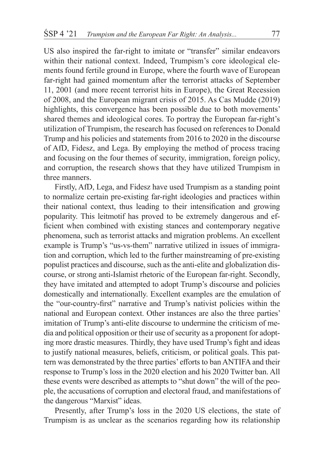US also inspired the far-right to imitate or "transfer" similar endeavors within their national context. Indeed, Trumpism's core ideological elements found fertile ground in Europe, where the fourth wave of European far-right had gained momentum after the terrorist attacks of September 11, 2001 (and more recent terrorist hits in Europe), the Great Recession of 2008, and the European migrant crisis of 2015. As Cas Mudde (2019) highlights, this convergence has been possible due to both movements' shared themes and ideological cores. To portray the European far-right's utilization of Trumpism, the research has focused on references to Donald Trump and his policies and statements from 2016 to 2020 in the discourse of AfD, Fidesz, and Lega. By employing the method of process tracing and focusing on the four themes of security, immigration, foreign policy, and corruption, the research shows that they have utilized Trumpism in three manners.

Firstly, AfD, Lega, and Fidesz have used Trumpism as a standing point to normalize certain pre-existing far-right ideologies and practices within their national context, thus leading to their intensification and growing popularity. This leitmotif has proved to be extremely dangerous and efficient when combined with existing stances and contemporary negative phenomena, such as terrorist attacks and migration problems. An excellent example is Trump's "us-vs-them" narrative utilized in issues of immigration and corruption, which led to the further mainstreaming of pre-existing populist practices and discourse, such as the anti-elite and globalization discourse, or strong anti-Islamist rhetoric of the European far-right. Secondly, they have imitated and attempted to adopt Trump's discourse and policies domestically and internationally. Excellent examples are the emulation of the "our-country-first" narrative and Trump's nativist policies within the national and European context. Other instances are also the three parties' imitation of Trump's anti-elite discourse to undermine the criticism of media and political opposition or their use of security as a proponent for adopting more drastic measures. Thirdly, they have used Trump's fight and ideas to justify national measures, beliefs, criticism, or political goals. This pattern was demonstrated by the three parties' efforts to ban ANTIFA and their response to Trump's loss in the 2020 election and his 2020 Twitter ban. All these events were described as attempts to "shut down" the will of the people, the accusations of corruption and electoral fraud, and manifestations of the dangerous "Marxist" ideas.

Presently, after Trump's loss in the 2020 US elections, the state of Trumpism is as unclear as the scenarios regarding how its relationship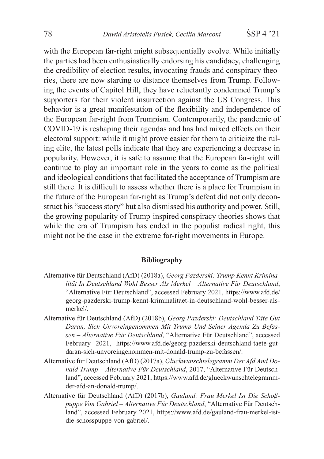with the European far-right might subsequentially evolve. While initially the parties had been enthusiastically endorsing his candidacy, challenging the credibility of election results, invocating frauds and conspiracy theories, there are now starting to distance themselves from Trump. Following the events of Capitol Hill, they have reluctantly condemned Trump's supporters for their violent insurrection against the US Congress. This behavior is a great manifestation of the flexibility and independence of the European far-right from Trumpism. Contemporarily, the pandemic of COVID-19 is reshaping their agendas and has had mixed effects on their electoral support: while it might prove easier for them to criticize the ruling elite, the latest polls indicate that they are experiencing a decrease in popularity. However, it is safe to assume that the European far-right will continue to play an important role in the years to come as the political and ideological conditions that facilitated the acceptance of Trumpism are still there. It is difficult to assess whether there is a place for Trumpism in the future of the European far-right as Trump's defeat did not only deconstruct his "success story" but also dismissed his authority and power. Still, the growing popularity of Trump-inspired conspiracy theories shows that while the era of Trumpism has ended in the populist radical right, this might not be the case in the extreme far-right movements in Europe.

#### **Bibliography**

- Alternative für Deutschland (AfD) (2018a), *Georg Pazderski: Trump Kennt Kriminalität In Deutschland Wohl Besser Als Merkel – Alternative Für Deutschland*, "Alternative Für Deutschland", accessed February 2021, https://www.afd.de/ georg-pazderski-trump-kennt-kriminalitaet-in-deutschland-wohl-besser-alsmerkel/.
- Alternative für Deutschland (AfD) (2018b), *Georg Pazderski: Deutschland Täte Gut Daran, Sich Unvoreingenommen Mit Trump Und Seiner Agenda Zu Befassen – Alternative Für Deutschland*, "Alternative Für Deutschland", accessed February 2021, https://www.afd.de/georg-pazderski-deutschland-taete-gutdaran-sich-unvoreingenommen-mit-donald-trump-zu-befassen/.
- Alternative für Deutschland (AfD) (2017a), *Glückwunschtelegramm Der Afd And Donald Trump – Alternative Für Deutschland*, 2017, "Alternative Für Deutschland", accessed February 2021, https://www.afd.de/glueckwunschtelegrammder-afd-an-donald-trump/.
- Alternative für Deutschland (AfD) (2017b), *Gauland: Frau Merkel Ist Die Schoßpuppe Von Gabriel – Alternative Für Deutschland*, "Alternative Für Deutschland", accessed February 2021, https://www.afd.de/gauland-frau-merkel-istdie-schosspuppe-von-gabriel/.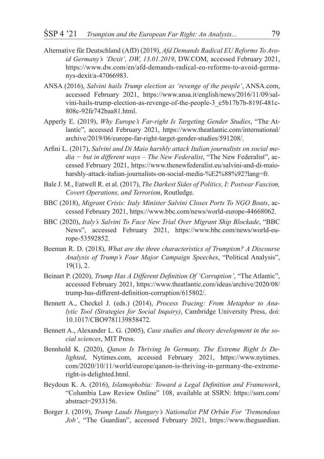- Alternative für Deutschland (AfD) (2019), *Afd Demands Radical EU Reforms To Avoid Germany's 'Dexit', DW, 13.01.2019*, DW.COM, accessed February 2021, https://www.dw.com/en/afd-demands-radical-eu-reforms-to-avoid-germanys-dexit/a-47066983.
- ANSA (2016), *Salvini hails Trump election as 'revenge of the people'*, ANSA.com, accessed February 2021, https://www.ansa.it/english/news/2016/11/09/salvini-hails-trump-election-as-revenge-of-the-people-3\_e5b17b7b-819f-481c-808c-92fe742baa81.html.
- Apperly E. (2019), *Why Europe's Far-right Is Targeting Gender Studies*, "The Atlantic", accessed February 2021, https://www.theatlantic.com/international/ archive/2019/06/europe-far-right-target-gender-studies/591208/.
- Arfini L. (2017), *Salvini and Di Maio harshly attack Italian journalists on social media − but in different ways – The New Federalist*, "The New Federalist", accessed February 2021, https://www.thenewfederalist.eu/salvini-and-di-maioharshly-attack-italian-journalists-on-social-media-%E2%88%92?lang=fr.
- Bale J. M., Eatwell R. et al. (2017), *The Darkest Sides of Politics, I: Postwar Fascism, Covert Operations, and Terrorism*, Routledge.
- BBC (2018), *Migrant Crisis: Italy Minister Salvini Closes Ports To NGO Boats*, accessed February 2021, https://www.bbc.com/news/world-europe-44668062.
- BBC (2020), *Italy's Salvini To Face New Trial Over Migrant Ship Blockade*, "BBC News", accessed February 2021, https://www.bbc.com/news/world-europe-53592852.
- Beeman R. D. (2018), *What are the three characteristics of Trumpism? A Discourse Analysis of Trump's Four Major Campaign Speeches*, "Political Analysis", 19(1), 2.
- Beinart P. (2020), *Trump Has A Different Definition Of 'Corruption'*, "The Atlantic", accessed February 2021, https://www.theatlantic.com/ideas/archive/2020/08/ trump-has-different-definition-corruption/615802/.
- Bennett A., Checkel J. (eds.) (2014), *Process Tracing: From Metaphor to Analytic Tool (Strategies for Social Inquiry)*, Cambridge University Press, doi: 10.1017/CBO9781139858472.
- Bennett A., Alexander L. G. (2005), *Case studies and theory development in the social sciences*, MIT Press.
- Bennhold K. (2020), *Qanon Is Thriving In Germany. The Extreme Right Is Delighted*, Nytimes.com, accessed February 2021, https://www.nytimes. com/2020/10/11/world/europe/qanon-is-thriving-in-germany-the-extremeright-is-delighted.html.
- Beydoun K. A. (2016), *Islamophobia: Toward a Legal Definition and Framework*, "Columbia Law Review Online" 108, available at SSRN: https://ssrn.com/ abstract=2933156.
- Borger J. (2019), *Trump Lauds Hungary's Nationalist PM Orbán For 'Tremendous Job'*, "The Guardian", accessed February 2021, https://www.theguardian.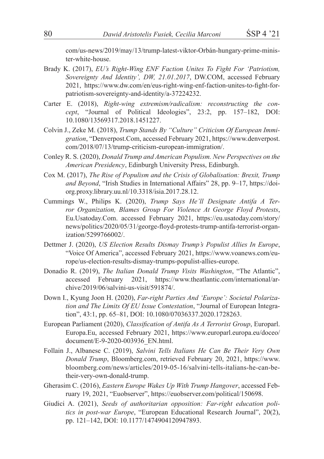com/us-news/2019/may/13/trump-latest-viktor-Orbán-hungary-prime-minister-white-house.

- Brady K. (2017), *EU's Right-Wing ENF Faction Unites To Fight For 'Patriotism, Sovereignty And Identity', DW, 21.01.2017*, DW.COM, accessed February 2021, https://www.dw.com/en/eus-right-wing-enf-faction-unites-to-fight-forpatriotism-sovereignty-and-identity/a-37224232.
- Carter E. (2018), *Right-wing extremism/radicalism: reconstructing the concept*, "Journal of Political Ideologies", 23:2, pp. 157–182, DOI: 10.1080/13569317.2018.1451227.
- Colvin J., Zeke M. (2018), *Trump Stands By "Culture" Criticism Of European Immigration*, "Denverpost.Com, accessed February 2021, https://www.denverpost. com/2018/07/13/trump-criticism-european-immigration/.
- Conley R. S. (2020), *Donald Trump and American Populism. New Perspectives on the American Presidency*, Edinburgh University Press, Edinburgh.
- Cox M. (2017), *The Rise of Populism and the Crisis of Globalisation: Brexit, Trump and Beyond*, "Irish Studies in International Affairs" 28, pp. 9–17, https://doiorg.proxy.library.uu.nl/10.3318/isia.2017.28.12.
- Cummings W., Philips K. (2020), *Trump Says He'll Designate Antifa A Terror Organization, Blames Group For Violence At George Floyd Protests*, Eu.Usatoday.Com. accessed February 2021, https://eu.usatoday.com/story/ news/politics/2020/05/31/george-floyd-protests-trump-antifa-terrorist-organization/5299766002/.
- Dettmer J. (2020), *US Election Results Dismay Trump's Populist Allies In Europe*, "Voice Of America", accessed February 2021, https://www.voanews.com/europe/us-election-results-dismay-trumps-populist-allies-europe.
- Donadio R. (2019), *The Italian Donald Trump Visits Washington*, "The Atlantic", accessed February 2021, https://www.theatlantic.com/international/archive/2019/06/salvini-us-visit/591874/.
- Down I., Kyung Joon H. (2020), *Far-right Parties And 'Europe': Societal Polarization and The Limits Of EU Issue Contestation*, "Journal of European Integration", 43:1, pp. 65–81, DOI: 10.1080/07036337.2020.1728263.
- European Parliament (2020), *Classification of Antifa As A Terrorist Group*, Europarl. Europa.Eu, accessed February 2021, https://www.europarl.europa.eu/doceo/ document/E-9-2020-003936\_EN.html.
- Follain J., Albanese C. (2019), *Salvini Tells Italians He Can Be Their Very Own Donald Trump*, Bloomberg.com, retrieved February 20, 2021, https://www. bloomberg.com/news/articles/2019-05-16/salvini-tells-italians-he-can-betheir-very-own-donald-trump.
- Gherasim C. (2016), *Eastern Europe Wakes Up With Trump Hangover*, accessed February 19, 2021, "Euobserver", https://euobserver.com/political/150698.
- Giudici A. (2021), *Seeds of authoritarian opposition: Far-right education politics in post-war Europe*, "European Educational Research Journal", 20(2), pp. 121–142, DOI: 10.1177/1474904120947893.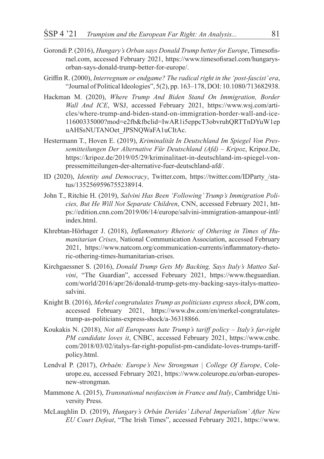- Gorondi P. (2016), *Hungary's Orban says Donald Trump better for Europe*, Timesofisrael.com, accessed February 2021, https://www.timesofisrael.com/hungarysorban-says-donald-trump-better-for-europe/.
- Griffin R. (2000), *Interregnum or endgame? The radical right in the 'post-fascist' era*, "Journal of Political Ideologies", 5(2), pp. 163–178, DOI: 10.1080/713682938.
- Hackman M. (2020), *Where Trump And Biden Stand On Immigration, Border Wall And ICE*, WSJ, accessed February 2021, https://www.wsj.com/articles/where-trump-and-biden-stand-on-immigration-border-wall-and-ice-11600335000?mod=e2fb&fbclid=IwAR1i5eppcT3obvruhQRTTnDYuW1ep uAHSsNUTANOet\_JPSNQWaFA1uCItAc.
- Hestermann T., Hoven E. (2019), *Kriminalität In Deutschland Im Spiegel Von Pressemitteilungen Der Alternative Für Deutschland (Afd) – Kripoz*, Kripoz.De, https://kripoz.de/2019/05/29/kriminalitaet-in-deutschland-im-spiegel-vonpressemitteilungen-der-alternative-fuer-deutschland-afd/.
- ID (2020), *Identity and Democracy*, Twitter.com, https://twitter.com/IDParty\_/status/1352569596755238914.
- John T., Ritchie H. (2019), *Salvini Has Been 'Following' Trump's Immigration Policies, But He Will Not Separate Children*, CNN, accessed February 2021, https://edition.cnn.com/2019/06/14/europe/salvini-immigration-amanpour-intl/ index.html.
- Khrebtan-Hörhager J. (2018), *Inflammatory Rhetoric of Othering in Times of Humanitarian Crises*, National Communication Association, accessed February 2021, https://www.natcom.org/communication-currents/inflammatory-rhetoric-othering-times-humanitarian-crises.
- Kirchgaessner S. (2016), *Donald Trump Gets My Backing, Says Italy's Matteo Salvini*, "The Guardian", accessed February 2021, https://www.theguardian. com/world/2016/apr/26/donald-trump-gets-my-backing-says-italys-matteosalvini.
- Knight B. (2016), *Merkel congratulates Trump as politicians express shock*, DW.com, accessed February 2021, https://www.dw.com/en/merkel-congratulatestrump-as-politicians-express-shock/a-36318866.
- Koukakis N. (2018), *Not all Europeans hate Trump's tariff policy Italy's far-right PM candidate loves it*, CNBC, accessed February 2021, https://www.cnbc. com/2018/03/02/italys-far-right-populist-pm-candidate-loves-trumps-tariffpolicy.html.
- Lendval P. (2017), *Orbaěn: Europe's New Strongman | College Of Europe*, Coleurope.eu, accessed February 2021, https://www.coleurope.eu/orban-europesnew-strongman.
- Mammone A. (2015), *Transnational neofascism in France and Italy*, Cambridge University Press.
- McLaughlin D. (2019), *Hungary's Orbán Derides' Liberal Imperialism' After New EU Court Defeat*, "The Irish Times", accessed February 2021, https://www.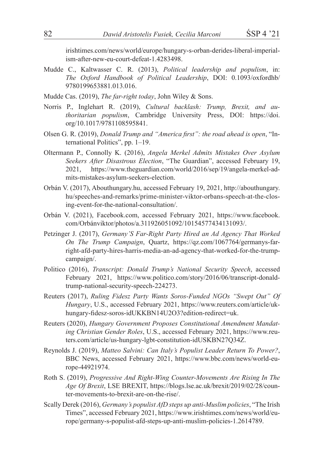irishtimes.com/news/world/europe/hungary-s-orban-derides-liberal-imperialism-after-new-eu-court-defeat-1.4283498.

- Mudde C., Kaltwasser C. R. (2013), *Political leadership and populism*, in: *The Oxford Handbook of Political Leadership*, DOI: 0.1093/oxfordhb/ 9780199653881.013.016.
- Mudde Cas. (2019), *The far-right today*, John Wiley & Sons.
- Norris P., Inglehart R. (2019), *Cultural backlash: Trump, Brexit, and authoritarian populism*, Cambridge University Press, DOI: https://doi. org/10.1017/9781108595841.
- Olsen G. R. (2019), *Donald Trump and "America first": the road ahead is open*, "International Politics", pp. 1–19.
- Oltermann P., Connolly K. (2016), *Angela Merkel Admits Mistakes Over Asylum Seekers After Disastrous Election*, "The Guardian", accessed February 19, 2021, https://www.theguardian.com/world/2016/sep/19/angela-merkel-admits-mistakes-asylum-seekers-election.
- Orbán V. (2017), Abouthungary.hu, accessed February 19, 2021, http://abouthungary. hu/speeches-and-remarks/prime-minister-viktor-orbans-speech-at-the-closing-event-for-the-national-consultation/.
- Orbán V. (2021), Facebook.com, accessed February 2021, https://www.facebook. com/Orbánviktor/photos/a.311926051092/10154577434131093/.
- Petzinger J. (2017), *Germany'S Far-Right Party Hired an Ad Agency That Worked On The Trump Campaign*, Quartz, https://qz.com/1067764/germanys-farright-afd-party-hires-harris-media-an-ad-agency-that-worked-for-the-trumpcampaign/.
- Politico (2016), *Transcript: Donald Trump's National Security Speech*, accessed February 2021, https://www.politico.com/story/2016/06/transcript-donaldtrump-national-security-speech-224273.
- Reuters (2017), *Ruling Fidesz Party Wants Soros-Funded NGOs "Swept Out" Of Hungary*, U.S., accessed February 2021, https://www.reuters.com/article/ukhungary-fidesz-soros-idUKKBN14U2O3?edition-redirect=uk.
- Reuters (2020), *Hungary Government Proposes Constitutional Amendment Mandating Christian Gender Roles*, U.S., accessed February 2021, https://www.reuters.com/article/us-hungary-lgbt-constitution-idUSKBN27Q34Z.
- Reynolds J. (2019), *Matteo Salvini: Can Italy's Populist Leader Return To Power?*, BBC News, accessed February 2021, https://www.bbc.com/news/world-europe-44921974.
- Roth S. (2019), *Progressive And Right-Wing Counter-Movements Are Rising In The Age Of Brexit*, LSE BREXIT, https://blogs.lse.ac.uk/brexit/2019/02/28/counter-movements-to-brexit-are-on-the-rise/.
- Scally Derek (2016), *Germany's populist AfD steps up anti-Muslim policies*, "The Irish Times", accessed February 2021, https://www.irishtimes.com/news/world/europe/germany-s-populist-afd-steps-up-anti-muslim-policies-1.2614789.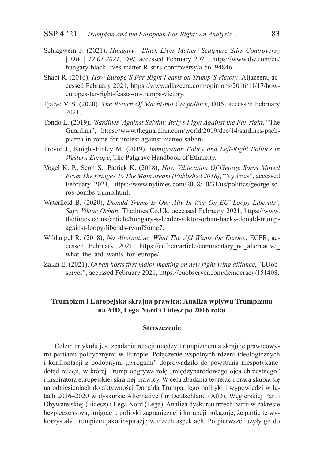- Schlagwein F. (2021), *Hungary: 'Black Lives Matter' Sculpture Stirs Controversy | DW | 12.01.2021*, DW, accessed February 2021, https://www.dw.com/en/ hungary-black-lives-matter-R-stirs-controversy/a-56194846.
- Shabi R. (2016), *How Europe'S Far-Right Feasts on Trump'S Victory*, Aljazeera, accessed February 2021, https://www.aljazeera.com/opinions/2016/11/17/howeuropes-far-right-feasts-on-trumps-victory.
- Tjalve V. S. (2020), *The Return Of Machismo Geopolitics*, DIIS, accessed February 2021.
- Tondo L. (2019), *'Sardines' Against Salvini: Italy's Fight Against the Far-right*, "The Guardian", https://www.theguardian.com/world/2019/dec/14/sardines-packpiazza-in-rome-for-protest-against-matteo-salvini.
- Trevor J., Knight-Finley M. (2019), *Immigration Policy and Left-Right Politics in Western Europe*, The Palgrave Handbook of Ethnicity.
- Vogel K. P., Scott S., Patrick K. (2018), *How Vilification Of George Soros Moved From The Fringes To The Mainstream (Published 2018)*, "Nytimes", accessed February 2021, https://www.nytimes.com/2018/10/31/us/politics/george-soros-bombs-trump.html.
- Waterfield B. (2020), *Donald Trump Is Our Ally In War On EU' Loopy Liberals', Says Viktor Orban*, Thetimes.Co.Uk, accessed February 2021, https://www. thetimes.co.uk/article/hungary-s-leader-viktor-orban-backs-donald-trumpagainst-loopy-liberals-rwmf56mc7.
- Wildangel R. (2018), *No Alternative: What The Afd Wants for Europe*, ECFR, accessed February 2021, https://ecfr.eu/article/commentary no alternative what the afd wants for europe/.
- Zalan E. (2021), *Orbán hosts first major meeting on new right-wing alliance*, "EUobserver", accessed February 2021, https://euobserver.com/democracy/151408.

**Trumpizm i Europejska skrajna prawica: Analiza wpływu Trumpizmu na AfD, Lega Nord i Fidesz po 2016 roku**

### **Streszczenie**

Celem artykułu jest zbadanie relacji między Trumpizmem a skrajnie prawicowymi partiami politycznymi w Europie. Połączenie wspólnych rdzeni ideologicznych i konfrontacji z podobnymi "wrogami" doprowadziło do powstania niespotykanej dotąd relacji, w której Trump odgrywa rolę "międzynarodowego ojca chrzestnego" i inspiratora europejskiej skrajnej prawicy. W celu zbadania tej relacji praca skupia się na odniesieniach do aktywności Donalda Trumpa, jego polityki i wypowiedzi w latach 2016–2020 w dyskursie Alternative für Deutschland (AfD), Węgierskiej Partii Obywatelskiej (Fidesz) i Lega Nord (Lega). Analiza dyskursu trzech partii w zakresie bezpieczeństwa, imigracji, polityki zagranicznej i korupcji pokazuje, że partie te wykorzystały Trumpizm jako inspirację w trzech aspektach. Po pierwsze, użyły go do